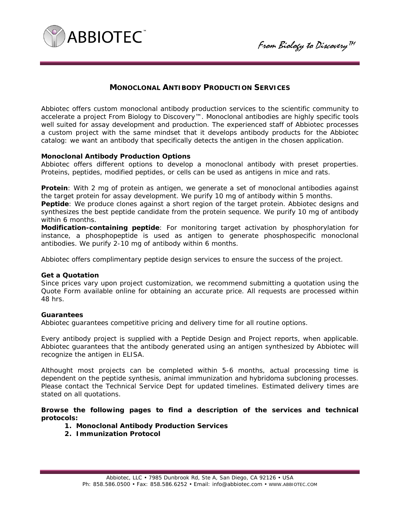



# **MONOCLONAL ANTIBODY PRODUCTION SERVICES**

Abbiotec offers custom monoclonal antibody production services to the scientific community to accelerate a project From Biology to Discovery™. Monoclonal antibodies are highly specific tools well suited for assay development and production. The experienced staff of Abbiotec processes a custom project with the same mindset that it develops antibody products for the Abbiotec catalog: we want an antibody that specifically detects the antigen in the chosen application.

## **Monoclonal Antibody Production Options**

Abbiotec offers different options to develop a monoclonal antibody with preset properties. Proteins, peptides, modified peptides, or cells can be used as antigens in mice and rats.

**Protein**: With 2 mg of protein as antigen, we generate a set of monoclonal antibodies against the target protein for assay development. We purify 10 mg of antibody within 5 months.

**Peptide**: We produce clones against a short region of the target protein. Abbiotec designs and synthesizes the best peptide candidate from the protein sequence. We purify 10 mg of antibody within 6 months.

**Modification-containing peptide**: For monitoring target activation by phosphorylation for instance, a phosphopeptide is used as antigen to generate phosphospecific monoclonal antibodies. We purify 2-10 mg of antibody within 6 months.

Abbiotec offers complimentary peptide design services to ensure the success of the project.

#### **Get a Quotation**

Since prices vary upon project customization, we recommend submitting a quotation using the Quote Form available online for obtaining an accurate price. All requests are processed within 48 hrs.

#### **Guarantees**

Abbiotec guarantees competitive pricing and delivery time for all routine options.

Every antibody project is supplied with a Peptide Design and Project reports, when applicable. Abbiotec guarantees that the antibody generated using an antigen synthesized by Abbiotec will recognize the antigen in ELISA.

Althought most projects can be completed within 5-6 months, actual processing time is dependent on the peptide synthesis, animal immunization and hybridoma subcloning processes. Please contact the Technical Service Dept for updated timelines. Estimated delivery times are stated on all quotations.

**Browse the following pages to find a description of the services and technical protocols:** 

- **1. Monoclonal Antibody Production Services**
- **2. Immunization Protocol**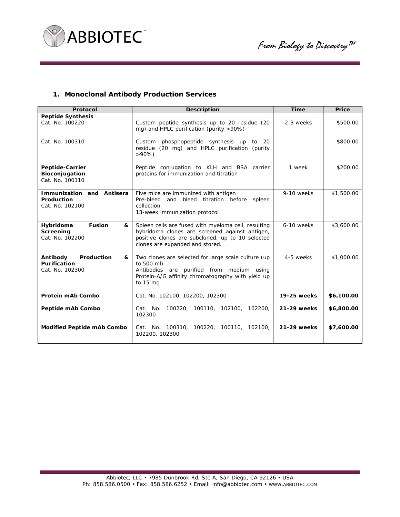

## **1. Monoclonal Antibody Production Services**

| Protocol                                                              | <b>Description</b>                                                                                                                                                                           | <b>Time</b> | Price      |
|-----------------------------------------------------------------------|----------------------------------------------------------------------------------------------------------------------------------------------------------------------------------------------|-------------|------------|
| <b>Peptide Synthesis</b><br>Cat. No. 100220                           | Custom peptide synthesis up to 20 residue (20<br>mg) and HPLC purification (purity >90%)                                                                                                     | 2-3 weeks   | \$500.00   |
| Cat. No. 100310                                                       | phosphopeptide synthesis up to 20<br>Custom<br>residue (20 mg) and HPLC purification (purity<br>$>90\%$                                                                                      |             | \$800.00   |
| Peptide-Carrier<br>Bioconjugation<br>Cat. No. 100110                  | Peptide conjugation to KLH and BSA carrier<br>proteins for immunization and titration                                                                                                        | 1 week      | \$200.00   |
| Immunization and Antisera<br>Production<br>Cat. No. 102100            | Five mice are immunized with antigen<br>and bleed titration before spleen<br>Pre-bleed<br>collection<br>13-week immunization protocol                                                        | 9-10 weeks  | \$1,500.00 |
| Hybridoma<br><b>Fusion</b><br>&<br>Screening<br>Cat. No. 102200       | Spleen cells are fused with myeloma cell, resulting<br>hybridoma clones are screened against antigen,<br>positive clones are subcloned, up to 10 selected<br>clones are expanded and stored. | 6-10 weeks  | \$3,600.00 |
| Antibody<br>Production<br>&<br><b>Purification</b><br>Cat. No. 102300 | Two clones are selected for large scale culture (up<br>to 500 ml)<br>Antibodies are purified from medium using<br>Protein-A/G affinity chromatography with yield up<br>to 15 mg              | 4-5 weeks   | \$1,000.00 |
| Protein mAb Combo                                                     | Cat. No. 102100, 102200, 102300                                                                                                                                                              | 19-25 weeks | \$6,100.00 |
| Peptide mAb Combo                                                     | Cat. No. 100220, 100110, 102100, 102200,<br>102300                                                                                                                                           | 21-29 weeks | \$6,800.00 |
| <b>Modified Peptide mAb Combo</b>                                     | Cat. No. 100310, 100220, 100110, 102100,<br>102200, 102300                                                                                                                                   | 21-29 weeks | \$7,600.00 |